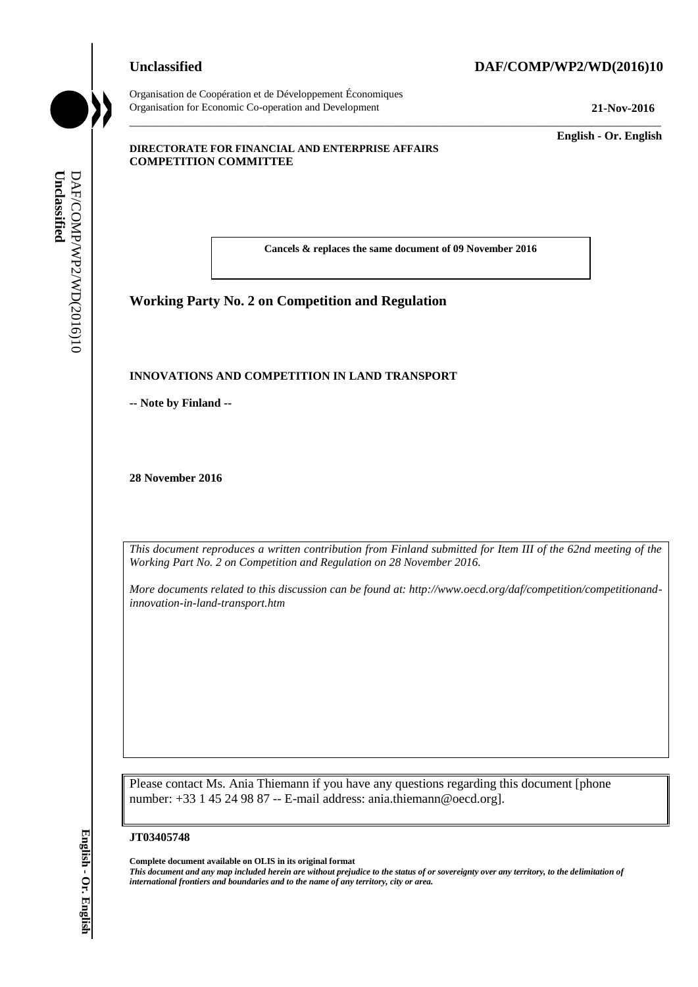Organisation de Coopération et de Développement Économiques Organisation for Economic Co-operation and Development **21-Nov-2016**

# **Unclassified DAF/COMP/WP2/WD(2016)10**

\_\_\_\_\_\_\_\_\_\_\_\_\_ **English - Or. English**

#### **DIRECTORATE FOR FINANCIAL AND ENTERPRISE AFFAIRS COMPETITION COMMITTEE**

**Cancels & replaces the same document of 09 November 2016**

\_\_\_\_\_\_\_\_\_\_\_\_\_\_\_\_\_\_\_\_\_\_\_\_\_\_\_\_\_\_\_\_\_\_\_\_\_\_\_\_\_\_\_\_\_\_\_\_\_\_\_\_\_\_\_\_\_\_\_\_\_\_\_\_\_\_\_\_\_\_\_\_\_\_\_\_\_\_\_\_\_\_\_\_\_\_\_\_\_\_\_

#### **Working Party No. 2 on Competition and Regulation**

#### **INNOVATIONS AND COMPETITION IN LAND TRANSPORT**

**-- Note by Finland --**

**28 November 2016**

*This document reproduces a written contribution from Finland submitted for Item III of the 62nd meeting of the Working Part No. 2 on Competition and Regulation on 28 November 2016.*

*More documents related to this discussion can be found at: http://www.oecd.org/daf/competition/competitionandinnovation-in-land-transport.htm*

Please contact Ms. Ania Thiemann if you have any questions regarding this document [phone number: +33 1 45 24 98 87 -- E-mail address: ania.thiemann@oecd.org]. *international frontiers and boundaries and to the name of any territory, city or area.* **Unclassified** DAF/COMP/WP2/WD(2016)10 **English - Or. English**

#### **JT03405748**

**Complete document available on OLIS in its original format**

*This document and any map included herein are without prejudice to the status of or sovereignty over any territory, to the delimitation of*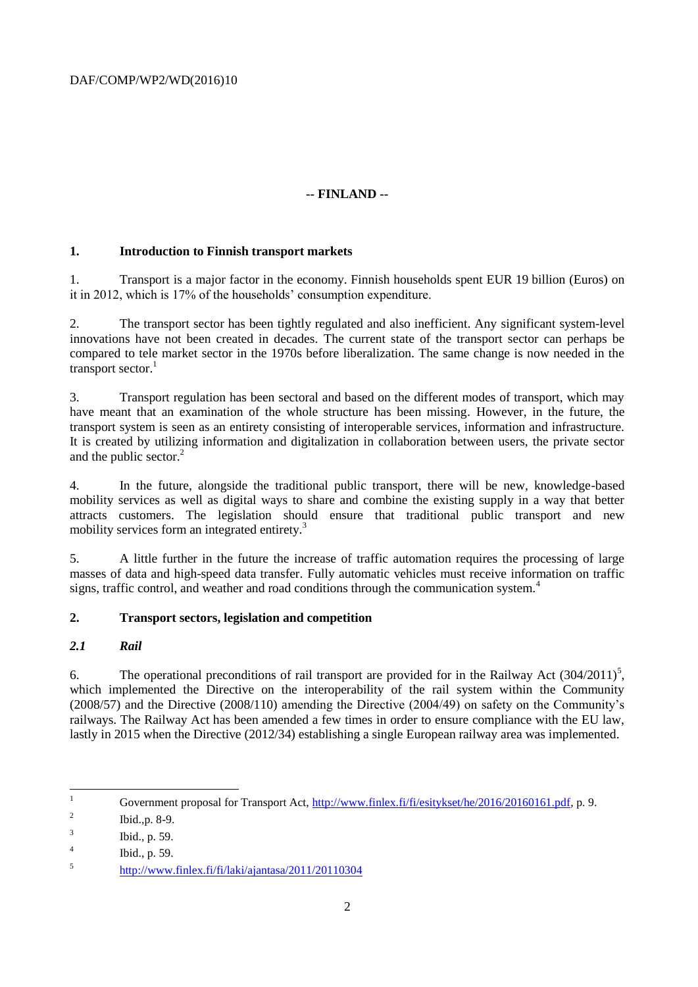# **-- FINLAND --**

#### **1. Introduction to Finnish transport markets**

1. Transport is a major factor in the economy. Finnish households spent EUR 19 billion (Euros) on it in 2012, which is 17% of the households' consumption expenditure.

2. The transport sector has been tightly regulated and also inefficient. Any significant system-level innovations have not been created in decades. The current state of the transport sector can perhaps be compared to tele market sector in the 1970s before liberalization. The same change is now needed in the transport sector. $<sup>1</sup>$ </sup>

3. Transport regulation has been sectoral and based on the different modes of transport, which may have meant that an examination of the whole structure has been missing. However, in the future, the transport system is seen as an entirety consisting of interoperable services, information and infrastructure. It is created by utilizing information and digitalization in collaboration between users, the private sector and the public sector. $^{2}$ 

4. In the future, alongside the traditional public transport, there will be new, knowledge-based mobility services as well as digital ways to share and combine the existing supply in a way that better attracts customers. The legislation should ensure that traditional public transport and new mobility services form an integrated entirety.<sup>3</sup>

5. A little further in the future the increase of traffic automation requires the processing of large masses of data and high-speed data transfer. Fully automatic vehicles must receive information on traffic signs, traffic control, and weather and road conditions through the communication system.<sup>4</sup>

#### **2. Transport sectors, legislation and competition**

#### *2.1 Rail*

6. The operational preconditions of rail transport are provided for in the Railway Act  $(304/2011)^5$ , which implemented the Directive on the interoperability of the rail system within the Community (2008/57) and the Directive (2008/110) amending the Directive (2004/49) on safety on the Community's railways. The Railway Act has been amended a few times in order to ensure compliance with the EU law, lastly in 2015 when the Directive (2012/34) establishing a single European railway area was implemented.

 $\mathbf{1}$ Government proposal for Transport Act, [http://www.finlex.fi/fi/esitykset/he/2016/20160161.pdf,](http://www.finlex.fi/fi/esitykset/he/2016/20160161.pdf) p. 9.

<sup>2</sup> Ibid.,p. 8-9.

<sup>3</sup> Ibid., p. 59.

<sup>4</sup> Ibid., p. 59.

<sup>5</sup> <http://www.finlex.fi/fi/laki/ajantasa/2011/20110304>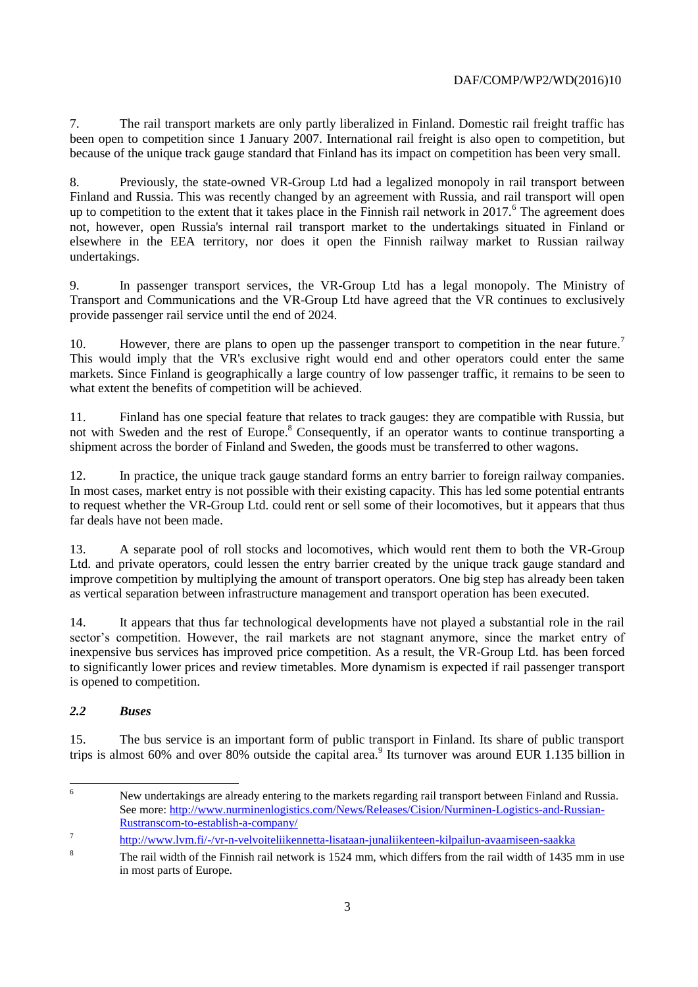7. The rail transport markets are only partly liberalized in Finland. Domestic rail freight traffic has been open to competition since 1 January 2007. International rail freight is also open to competition, but because of the unique track gauge standard that Finland has its impact on competition has been very small.

8. Previously, the state-owned VR-Group Ltd had a legalized monopoly in rail transport between Finland and Russia. This was recently changed by an agreement with Russia, and rail transport will open up to competition to the extent that it takes place in the Finnish rail network in  $2017$ .<sup>6</sup> The agreement does not, however, open Russia's internal rail transport market to the undertakings situated in Finland or elsewhere in the EEA territory, nor does it open the Finnish railway market to Russian railway undertakings.

9. In passenger transport services, the VR-Group Ltd has a legal monopoly. The Ministry of Transport and Communications and the VR-Group Ltd have agreed that the VR continues to exclusively provide passenger rail service until the end of 2024.

10. However, there are plans to open up the passenger transport to competition in the near future.<sup>7</sup> This would imply that the VR's exclusive right would end and other operators could enter the same markets. Since Finland is geographically a large country of low passenger traffic, it remains to be seen to what extent the benefits of competition will be achieved.

11. Finland has one special feature that relates to track gauges: they are compatible with Russia, but not with Sweden and the rest of Europe.<sup>8</sup> Consequently, if an operator wants to continue transporting a shipment across the border of Finland and Sweden, the goods must be transferred to other wagons.

12. In practice, the unique track gauge standard forms an entry barrier to foreign railway companies. In most cases, market entry is not possible with their existing capacity. This has led some potential entrants to request whether the VR-Group Ltd. could rent or sell some of their locomotives, but it appears that thus far deals have not been made.

13. A separate pool of roll stocks and locomotives, which would rent them to both the VR-Group Ltd. and private operators, could lessen the entry barrier created by the unique track gauge standard and improve competition by multiplying the amount of transport operators. One big step has already been taken as vertical separation between infrastructure management and transport operation has been executed.

14. It appears that thus far technological developments have not played a substantial role in the rail sector's competition. However, the rail markets are not stagnant anymore, since the market entry of inexpensive bus services has improved price competition. As a result, the VR-Group Ltd. has been forced to significantly lower prices and review timetables. More dynamism is expected if rail passenger transport is opened to competition.

#### *2.2 Buses*

15. The bus service is an important form of public transport in Finland. Its share of public transport trips is almost 60% and over 80% outside the capital area.<sup>9</sup> Its turnover was around EUR 1.135 billion in

 $\overline{6}$ <sup>6</sup> New undertakings are already entering to the markets regarding rail transport between Finland and Russia. See more: [http://www.nurminenlogistics.com/News/Releases/Cision/Nurminen-Logistics-and-Russian-](http://www.nurminenlogistics.com/News/Releases/Cision/Nurminen-Logistics-and-Russian-Rustranscom-to-establish-a-company/)[Rustranscom-to-establish-a-company/](http://www.nurminenlogistics.com/News/Releases/Cision/Nurminen-Logistics-and-Russian-Rustranscom-to-establish-a-company/)

<sup>7</sup> <http://www.lvm.fi/-/vr-n-velvoiteliikennetta-lisataan-junaliikenteen-kilpailun-avaamiseen-saakka>

<sup>&</sup>lt;sup>8</sup> The rail width of the Finnish rail network is 1524 mm, which differs from the rail width of 1435 mm in use in most parts of Europe.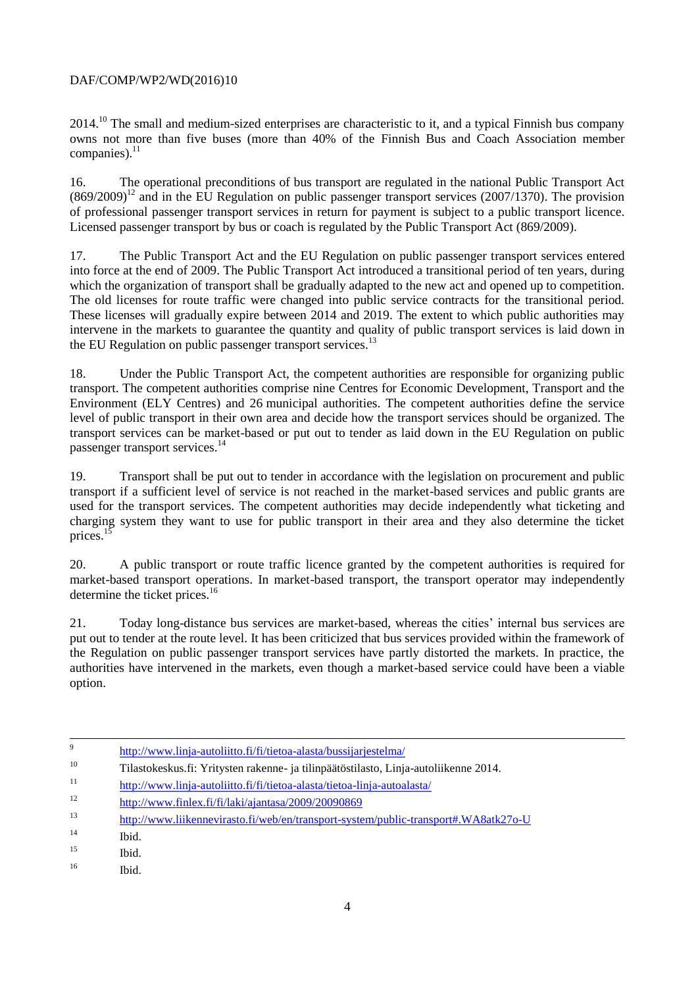2014.<sup>10</sup> The small and medium-sized enterprises are characteristic to it, and a typical Finnish bus company owns not more than five buses (more than 40% of the Finnish Bus and Coach Association member companies). $^{11}$ 

16. The operational preconditions of bus transport are regulated in the national Public Transport Act  $(869/2009)^{12}$  and in the EU Regulation on public passenger transport services (2007/1370). The provision of professional passenger transport services in return for payment is subject to a public transport licence. Licensed passenger transport by bus or coach is regulated by the Public Transport Act (869/2009).

17. The Public Transport Act and the EU Regulation on public passenger transport services entered into force at the end of 2009. The Public Transport Act introduced a transitional period of ten years, during which the organization of transport shall be gradually adapted to the new act and opened up to competition. The old licenses for route traffic were changed into public service contracts for the transitional period. These licenses will gradually expire between 2014 and 2019. The extent to which public authorities may intervene in the markets to guarantee the quantity and quality of public transport services is laid down in the EU Regulation on public passenger transport services.<sup>13</sup>

18. Under the Public Transport Act, the competent authorities are responsible for organizing public transport. The competent authorities comprise nine Centres for Economic Development, Transport and the Environment (ELY Centres) and 26 municipal authorities. The competent authorities define the service level of public transport in their own area and decide how the transport services should be organized. The transport services can be market-based or put out to tender as laid down in the EU Regulation on public passenger transport services.<sup>14</sup>

19. Transport shall be put out to tender in accordance with the legislation on procurement and public transport if a sufficient level of service is not reached in the market-based services and public grants are used for the transport services. The competent authorities may decide independently what ticketing and charging system they want to use for public transport in their area and they also determine the ticket prices. $15$ 

20. A public transport or route traffic licence granted by the competent authorities is required for market-based transport operations. In market-based transport, the transport operator may independently determine the ticket prices.<sup>16</sup>

21. Today long-distance bus services are market-based, whereas the cities' internal bus services are put out to tender at the route level. It has been criticized that bus services provided within the framework of the Regulation on public passenger transport services have partly distorted the markets. In practice, the authorities have intervened in the markets, even though a market-based service could have been a viable option.

| 9  | http://www.linja-autoliitto.fi/fi/tietoa-alasta/bussijarjestelma/                    |
|----|--------------------------------------------------------------------------------------|
| 10 | Tilastokeskus.fi: Yritysten rakenne- ja tilinpäätöstilasto, Linja-autoliikenne 2014. |
| 11 | http://www.linja-autoliitto.fi/fi/tietoa-alasta/tietoa-linja-autoalasta/             |
| 12 | http://www.finlex.fi/fi/laki/ajantasa/2009/20090869                                  |
| 13 | http://www.liikennevirasto.fi/web/en/transport-system/public-transport#.WA8atk27o-U  |
| 14 | Ibid.                                                                                |
| 15 | Ibid.                                                                                |
| 16 | Ibid.                                                                                |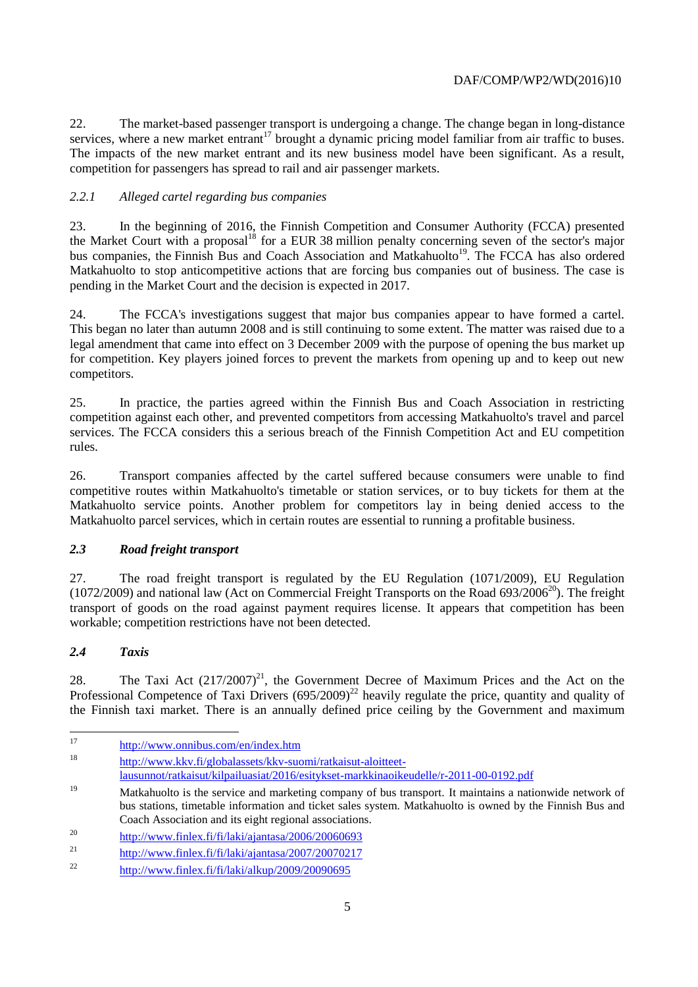22. The market-based passenger transport is undergoing a change. The change began in long-distance services, where a new market entrant<sup>17</sup> brought a dynamic pricing model familiar from air traffic to buses. The impacts of the new market entrant and its new business model have been significant. As a result, competition for passengers has spread to rail and air passenger markets.

#### *2.2.1 Alleged cartel regarding bus companies*

23. In the beginning of 2016, the Finnish Competition and Consumer Authority (FCCA) presented the Market Court with a proposal<sup>18</sup> for a EUR 38 million penalty concerning seven of the sector's major bus companies, the Finnish Bus and Coach Association and Matkahuolto<sup>19</sup>. The FCCA has also ordered Matkahuolto to stop anticompetitive actions that are forcing bus companies out of business. The case is pending in the Market Court and the decision is expected in 2017.

24. The FCCA's investigations suggest that major bus companies appear to have formed a cartel. This began no later than autumn 2008 and is still continuing to some extent. The matter was raised due to a legal amendment that came into effect on 3 December 2009 with the purpose of opening the bus market up for competition. Key players joined forces to prevent the markets from opening up and to keep out new competitors.

25. In practice, the parties agreed within the Finnish Bus and Coach Association in restricting competition against each other, and prevented competitors from accessing Matkahuolto's travel and parcel services. The FCCA considers this a serious breach of the Finnish Competition Act and EU competition rules.

26. Transport companies affected by the cartel suffered because consumers were unable to find competitive routes within Matkahuolto's timetable or station services, or to buy tickets for them at the Matkahuolto service points. Another problem for competitors lay in being denied access to the Matkahuolto parcel services, which in certain routes are essential to running a profitable business.

#### *2.3 Road freight transport*

27. The road freight transport is regulated by the EU Regulation (1071/2009), EU Regulation (1072/2009) and national law (Act on Commercial Freight Transports on the Road  $693/2006^{20}$ ). The freight transport of goods on the road against payment requires license. It appears that competition has been workable; competition restrictions have not been detected.

#### *2.4 Taxis*

28. The Taxi Act  $(217/2007)^{21}$ , the Government Decree of Maximum Prices and the Act on the Professional Competence of Taxi Drivers  $(695/2009)^{22}$  heavily regulate the price, quantity and quality of the Finnish taxi market. There is an annually defined price ceiling by the Government and maximum

 $17$ <sup>17</sup> <http://www.onnibus.com/en/index.htm>

<sup>18</sup> [http://www.kkv.fi/globalassets/kkv-suomi/ratkaisut-aloitteet-](http://www.kkv.fi/globalassets/kkv-suomi/ratkaisut-aloitteet-lausunnot/ratkaisut/kilpailuasiat/2016/esitykset-markkinaoikeudelle/r-2011-00-0192.pdf)

[lausunnot/ratkaisut/kilpailuasiat/2016/esitykset-markkinaoikeudelle/r-2011-00-0192.pdf](http://www.kkv.fi/globalassets/kkv-suomi/ratkaisut-aloitteet-lausunnot/ratkaisut/kilpailuasiat/2016/esitykset-markkinaoikeudelle/r-2011-00-0192.pdf)

<sup>&</sup>lt;sup>19</sup> Matkahuolto is the service and marketing company of bus transport. It maintains a nationwide network of bus stations, timetable information and ticket sales system. Matkahuolto is owned by the Finnish Bus and Coach Association and its eight regional associations.

<sup>&</sup>lt;sup>20</sup> <http://www.finlex.fi/fi/laki/ajantasa/2006/20060693>

<sup>&</sup>lt;sup>21</sup> <http://www.finlex.fi/fi/laki/ajantasa/2007/20070217>

<sup>&</sup>lt;sup>22</sup> <http://www.finlex.fi/fi/laki/alkup/2009/20090695>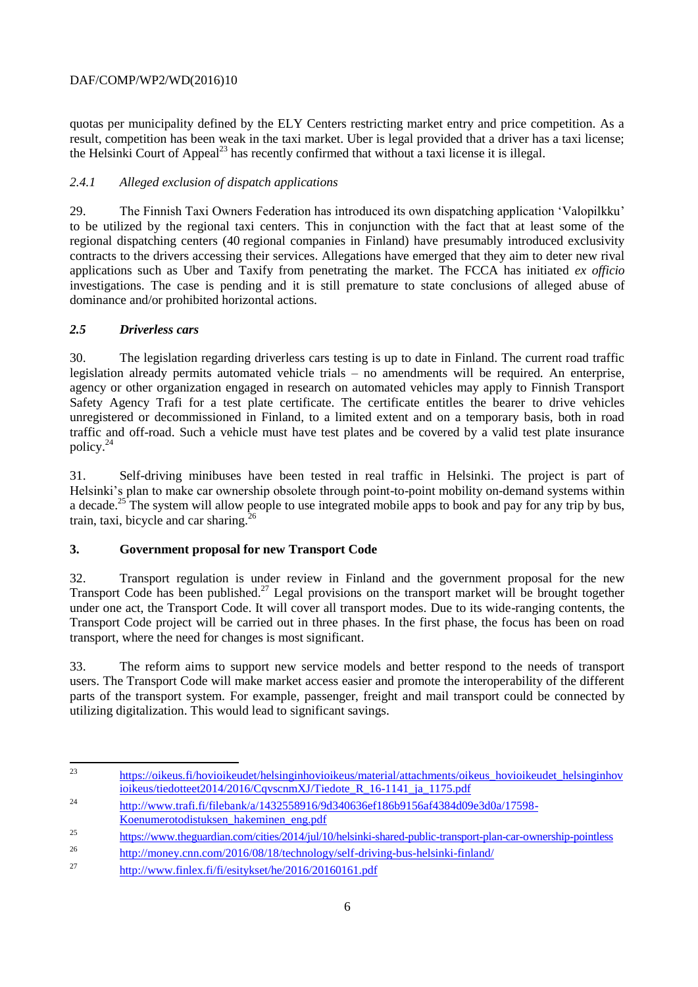quotas per municipality defined by the ELY Centers restricting market entry and price competition. As a result, competition has been weak in the taxi market. Uber is legal provided that a driver has a taxi license; the Helsinki Court of Appeal<sup>23</sup> has recently confirmed that without a taxi license it is illegal.

# *2.4.1 Alleged exclusion of dispatch applications*

29. The Finnish Taxi Owners Federation has introduced its own dispatching application 'Valopilkku' to be utilized by the regional taxi centers. This in conjunction with the fact that at least some of the regional dispatching centers (40 regional companies in Finland) have presumably introduced exclusivity contracts to the drivers accessing their services. Allegations have emerged that they aim to deter new rival applications such as Uber and Taxify from penetrating the market. The FCCA has initiated *ex officio* investigations. The case is pending and it is still premature to state conclusions of alleged abuse of dominance and/or prohibited horizontal actions.

# *2.5 Driverless cars*

30. The legislation regarding driverless cars testing is up to date in Finland. The current road traffic legislation already permits automated vehicle trials – no amendments will be required. An enterprise, agency or other organization engaged in research on automated vehicles may apply to Finnish Transport Safety Agency Trafi for a test plate certificate. The certificate entitles the bearer to drive vehicles unregistered or decommissioned in Finland, to a limited extent and on a temporary basis, both in road traffic and off-road. Such a vehicle must have test plates and be covered by a valid test plate insurance policy.<sup>24</sup>

31. Self-driving minibuses have been tested in real traffic in Helsinki. The project is part of Helsinki's plan to make car ownership obsolete through point-to-point mobility on-demand systems within a decade.<sup>25</sup> The system will allow people to use integrated mobile apps to book and pay for any trip by bus, train, taxi, bicycle and car sharing. $<sup>2</sup>$ </sup>

# **3. Government proposal for new Transport Code**

32. Transport regulation is under review in Finland and the government proposal for the new Transport Code has been published.<sup>27</sup> Legal provisions on the transport market will be brought together under one act, the Transport Code. It will cover all transport modes. Due to its wide-ranging contents, the Transport Code project will be carried out in three phases. In the first phase, the focus has been on road transport, where the need for changes is most significant.

33. The reform aims to support new service models and better respond to the needs of transport users. The Transport Code will make market access easier and promote the interoperability of the different parts of the transport system. For example, passenger, freight and mail transport could be connected by utilizing digitalization. This would lead to significant savings.

<sup>24</sup> [http://www.trafi.fi/filebank/a/1432558916/9d340636ef186b9156af4384d09e3d0a/17598-](http://www.trafi.fi/filebank/a/1432558916/9d340636ef186b9156af4384d09e3d0a/17598-Koenumerotodistuksen_hakeminen_eng.pdf)

 $2<sub>3</sub>$ <sup>23</sup> [https://oikeus.fi/hovioikeudet/helsinginhovioikeus/material/attachments/oikeus\\_hovioikeudet\\_helsinginhov](https://oikeus.fi/hovioikeudet/helsinginhovioikeus/material/attachments/oikeus_hovioikeudet_helsinginhovioikeus/tiedotteet2014/2016/CqvscnmXJ/Tiedote_R_16-1141_ja_1175.pdf) [ioikeus/tiedotteet2014/2016/CqvscnmXJ/Tiedote\\_R\\_16-1141\\_ja\\_1175.pdf](https://oikeus.fi/hovioikeudet/helsinginhovioikeus/material/attachments/oikeus_hovioikeudet_helsinginhovioikeus/tiedotteet2014/2016/CqvscnmXJ/Tiedote_R_16-1141_ja_1175.pdf)

[Koenumerotodistuksen\\_hakeminen\\_eng.pdf](http://www.trafi.fi/filebank/a/1432558916/9d340636ef186b9156af4384d09e3d0a/17598-Koenumerotodistuksen_hakeminen_eng.pdf)

<sup>25</sup> <https://www.theguardian.com/cities/2014/jul/10/helsinki-shared-public-transport-plan-car-ownership-pointless>

<sup>26</sup> <http://money.cnn.com/2016/08/18/technology/self-driving-bus-helsinki-finland/>

<sup>&</sup>lt;sup>27</sup> <http://www.finlex.fi/fi/esitykset/he/2016/20160161.pdf>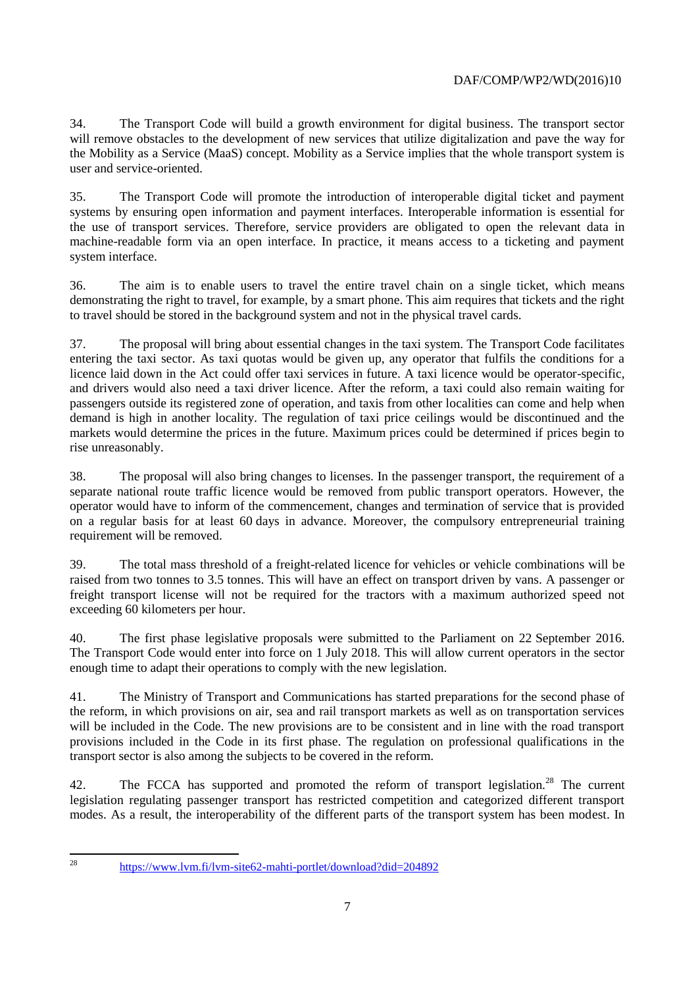34. The Transport Code will build a growth environment for digital business. The transport sector will remove obstacles to the development of new services that utilize digitalization and pave the way for the Mobility as a Service (MaaS) concept. Mobility as a Service implies that the whole transport system is user and service-oriented.

35. The Transport Code will promote the introduction of interoperable digital ticket and payment systems by ensuring open information and payment interfaces. Interoperable information is essential for the use of transport services. Therefore, service providers are obligated to open the relevant data in machine-readable form via an open interface. In practice, it means access to a ticketing and payment system interface.

36. The aim is to enable users to travel the entire travel chain on a single ticket, which means demonstrating the right to travel, for example, by a smart phone. This aim requires that tickets and the right to travel should be stored in the background system and not in the physical travel cards.

37. The proposal will bring about essential changes in the taxi system. The Transport Code facilitates entering the taxi sector. As taxi quotas would be given up, any operator that fulfils the conditions for a licence laid down in the Act could offer taxi services in future. A taxi licence would be operator-specific, and drivers would also need a taxi driver licence. After the reform, a taxi could also remain waiting for passengers outside its registered zone of operation, and taxis from other localities can come and help when demand is high in another locality. The regulation of taxi price ceilings would be discontinued and the markets would determine the prices in the future. Maximum prices could be determined if prices begin to rise unreasonably.

38. The proposal will also bring changes to licenses. In the passenger transport, the requirement of a separate national route traffic licence would be removed from public transport operators. However, the operator would have to inform of the commencement, changes and termination of service that is provided on a regular basis for at least 60 days in advance. Moreover, the compulsory entrepreneurial training requirement will be removed.

39. The total mass threshold of a freight-related licence for vehicles or vehicle combinations will be raised from two tonnes to 3.5 tonnes. This will have an effect on transport driven by vans. A passenger or freight transport license will not be required for the tractors with a maximum authorized speed not exceeding 60 kilometers per hour.

40. The first phase legislative proposals were submitted to the Parliament on 22 September 2016. The Transport Code would enter into force on 1 July 2018. This will allow current operators in the sector enough time to adapt their operations to comply with the new legislation.

41. The Ministry of Transport and Communications has started preparations for the second phase of the reform, in which provisions on air, sea and rail transport markets as well as on transportation services will be included in the Code. The new provisions are to be consistent and in line with the road transport provisions included in the Code in its first phase. The regulation on professional qualifications in the transport sector is also among the subjects to be covered in the reform.

42. The FCCA has supported and promoted the reform of transport legislation.<sup>28</sup> The current legislation regulating passenger transport has restricted competition and categorized different transport modes. As a result, the interoperability of the different parts of the transport system has been modest. In

 $28$ 

<sup>28</sup> <https://www.lvm.fi/lvm-site62-mahti-portlet/download?did=204892>